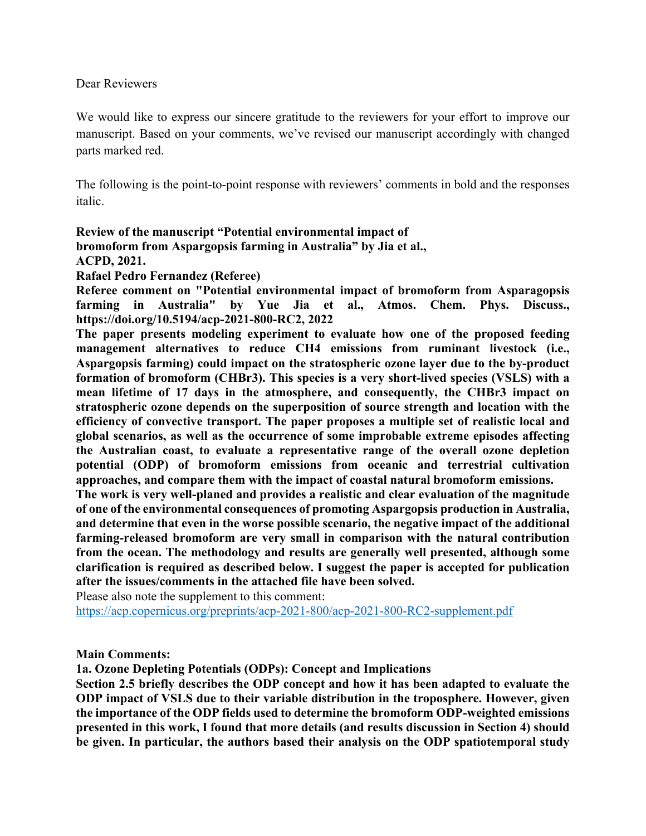#### Dear Reviewers

We would like to express our sincere gratitude to the reviewers for your effort to improve our manuscript. Based on your comments, we've revised our manuscript accordingly with changed parts marked red.

The following is the point-to-point response with reviewers' comments in bold and the responses italic.

## **Review of the manuscript "Potential environmental impact of bromoform from Aspargopsis farming in Australia" by Jia et al., ACPD, 2021. Rafael Pedro Fernandez (Referee)**

**Referee comment on "Potential environmental impact of bromoform from Asparagopsis farming in Australia" by Yue Jia et al., Atmos. Chem. Phys. Discuss., https://doi.org/10.5194/acp-2021-800-RC2, 2022**

**The paper presents modeling experiment to evaluate how one of the proposed feeding management alternatives to reduce CH4 emissions from ruminant livestock (i.e., Aspargopsis farming) could impact on the stratospheric ozone layer due to the by-product formation of bromoform (CHBr3). This species is a very short-lived species (VSLS) with a mean lifetime of 17 days in the atmosphere, and consequently, the CHBr3 impact on stratospheric ozone depends on the superposition of source strength and location with the efficiency of convective transport. The paper proposes a multiple set of realistic local and global scenarios, as well as the occurrence of some improbable extreme episodes affecting the Australian coast, to evaluate a representative range of the overall ozone depletion potential (ODP) of bromoform emissions from oceanic and terrestrial cultivation approaches, and compare them with the impact of coastal natural bromoform emissions.**

**The work is very well-planed and provides a realistic and clear evaluation of the magnitude of one of the environmental consequences of promoting Aspargopsis production in Australia, and determine that even in the worse possible scenario, the negative impact of the additional farming-released bromoform are very small in comparison with the natural contribution from the ocean. The methodology and results are generally well presented, although some clarification is required as described below. I suggest the paper is accepted for publication after the issues/comments in the attached file have been solved.**

Please also note the supplement to this comment:

https://acp.copernicus.org/preprints/acp-2021-800/acp-2021-800-RC2-supplement.pdf

#### **Main Comments:**

**1a. Ozone Depleting Potentials (ODPs): Concept and Implications**

**Section 2.5 briefly describes the ODP concept and how it has been adapted to evaluate the ODP impact of VSLS due to their variable distribution in the troposphere. However, given the importance of the ODP fields used to determine the bromoform ODP-weighted emissions presented in this work, I found that more details (and results discussion in Section 4) should be given. In particular, the authors based their analysis on the ODP spatiotemporal study**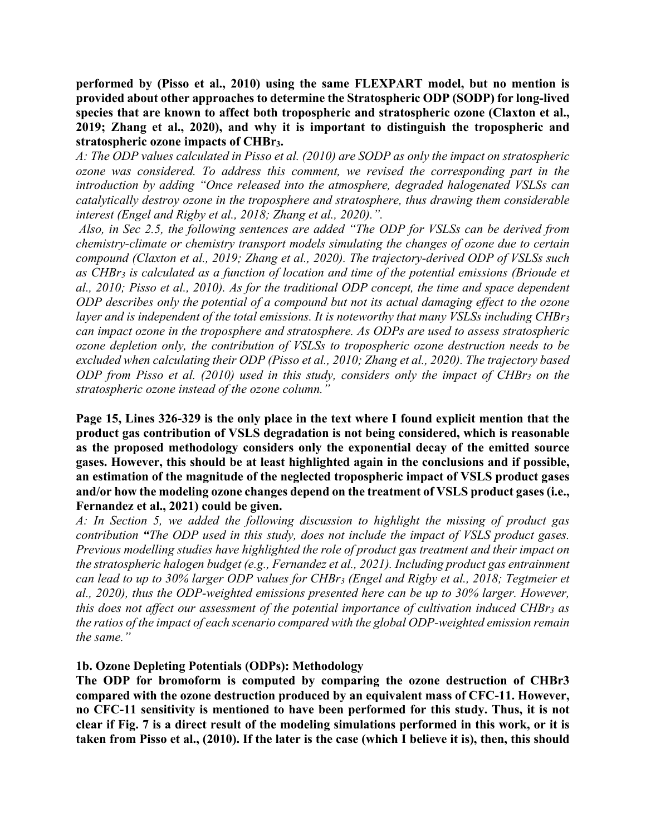**performed by (Pisso et al., 2010) using the same FLEXPART model, but no mention is provided about other approaches to determine the Stratospheric ODP (SODP) for long-lived species that are known to affect both tropospheric and stratospheric ozone (Claxton et al., 2019; Zhang et al., 2020), and why it is important to distinguish the tropospheric and stratospheric ozone impacts of CHBr3.**

*A: The ODP values calculated in Pisso et al. (2010) are SODP as only the impact on stratospheric ozone was considered. To address this comment, we revised the corresponding part in the introduction by adding "Once released into the atmosphere, degraded halogenated VSLSs can catalytically destroy ozone in the troposphere and stratosphere, thus drawing them considerable interest (Engel and Rigby et al., 2018; Zhang et al., 2020).".* 

*Also, in Sec 2.5, the following sentences are added "The ODP for VSLSs can be derived from chemistry-climate or chemistry transport models simulating the changes of ozone due to certain compound (Claxton et al., 2019; Zhang et al., 2020). The trajectory-derived ODP of VSLSs such as CHBr3 is calculated as a function of location and time of the potential emissions (Brioude et al., 2010; Pisso et al., 2010). As for the traditional ODP concept, the time and space dependent ODP describes only the potential of a compound but not its actual damaging effect to the ozone layer* and is independent of the total emissions. It is noteworthy that many VSLSs including CHBr<sub>3</sub> *can impact ozone in the troposphere and stratosphere. As ODPs are used to assess stratospheric ozone depletion only, the contribution of VSLSs to tropospheric ozone destruction needs to be excluded when calculating their ODP (Pisso et al., 2010; Zhang et al., 2020). The trajectory based ODP from Pisso et al. (2010) used in this study, considers only the impact of CHBr3 on the stratospheric ozone instead of the ozone column."*

**Page 15, Lines 326-329 is the only place in the text where I found explicit mention that the product gas contribution of VSLS degradation is not being considered, which is reasonable as the proposed methodology considers only the exponential decay of the emitted source gases. However, this should be at least highlighted again in the conclusions and if possible, an estimation of the magnitude of the neglected tropospheric impact of VSLS product gases and/or how the modeling ozone changes depend on the treatment of VSLS product gases (i.e., Fernandez et al., 2021) could be given.**

*A: In Section 5, we added the following discussion to highlight the missing of product gas contribution "The ODP used in this study, does not include the impact of VSLS product gases. Previous modelling studies have highlighted the role of product gas treatment and their impact on the stratospheric halogen budget (e.g., Fernandez et al., 2021). Including product gas entrainment can lead to up to 30% larger ODP values for CHBr3 (Engel and Rigby et al., 2018; Tegtmeier et al., 2020), thus the ODP-weighted emissions presented here can be up to 30% larger. However, this does not affect our assessment of the potential importance of cultivation induced CHBr3 as the ratios of the impact of each scenario compared with the global ODP-weighted emission remain the same."*

**1b. Ozone Depleting Potentials (ODPs): Methodology**

**The ODP for bromoform is computed by comparing the ozone destruction of CHBr3 compared with the ozone destruction produced by an equivalent mass of CFC-11. However, no CFC-11 sensitivity is mentioned to have been performed for this study. Thus, it is not clear if Fig. 7 is a direct result of the modeling simulations performed in this work, or it is taken from Pisso et al., (2010). If the later is the case (which I believe it is), then, this should**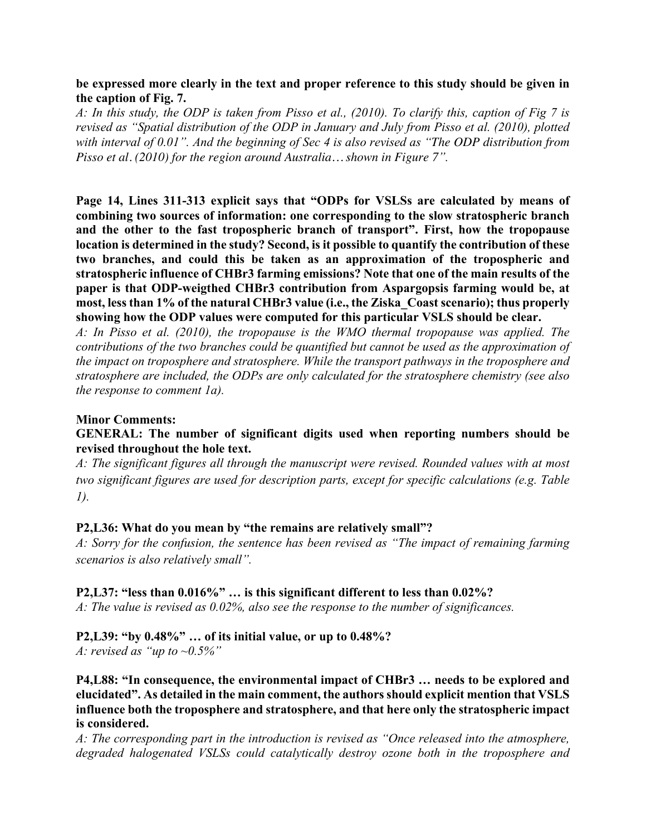#### **be expressed more clearly in the text and proper reference to this study should be given in the caption of Fig. 7.**

*A: In this study, the ODP is taken from Pisso et al., (2010). To clarify this, caption of Fig 7 is revised as "Spatial distribution of the ODP in January and July from Pisso et al. (2010), plotted with interval of 0.01". And the beginning of Sec 4 is also revised as "The ODP distribution from Pisso et al. (2010) for the region around Australia… shown in Figure 7".*

**Page 14, Lines 311-313 explicit says that "ODPs for VSLSs are calculated by means of combining two sources of information: one corresponding to the slow stratospheric branch and the other to the fast tropospheric branch of transport". First, how the tropopause location is determined in the study? Second, is it possible to quantify the contribution of these two branches, and could this be taken as an approximation of the tropospheric and stratospheric influence of CHBr3 farming emissions? Note that one of the main results of the paper is that ODP-weigthed CHBr3 contribution from Aspargopsis farming would be, at most, less than 1% of the natural CHBr3 value (i.e., the Ziska\_Coast scenario); thus properly showing how the ODP values were computed for this particular VSLS should be clear.**

*A: In Pisso et al. (2010), the tropopause is the WMO thermal tropopause was applied. The contributions of the two branches could be quantified but cannot be used as the approximation of the impact on troposphere and stratosphere. While the transport pathways in the troposphere and stratosphere are included, the ODPs are only calculated for the stratosphere chemistry (see also the response to comment 1a).*

#### **Minor Comments:**

## **GENERAL: The number of significant digits used when reporting numbers should be revised throughout the hole text.**

*A: The significant figures all through the manuscript were revised. Rounded values with at most two significant figures are used for description parts, except for specific calculations (e.g. Table 1).* 

#### **P2,L36: What do you mean by "the remains are relatively small"?**

*A: Sorry for the confusion, the sentence has been revised as "The impact of remaining farming scenarios is also relatively small".*

**P2,L37: "less than 0.016%" … is this significant different to less than 0.02%?**

*A: The value is revised as 0.02%, also see the response to the number of significances.*

# **P2,L39: "by 0.48%" … of its initial value, or up to 0.48%?**

*A: revised as "up to ~0.5%"*

**P4,L88: "In consequence, the environmental impact of CHBr3 … needs to be explored and elucidated". As detailed in the main comment, the authors should explicit mention that VSLS influence both the troposphere and stratosphere, and that here only the stratospheric impact is considered.**

*A: The corresponding part in the introduction is revised as "Once released into the atmosphere, degraded halogenated VSLSs could catalytically destroy ozone both in the troposphere and*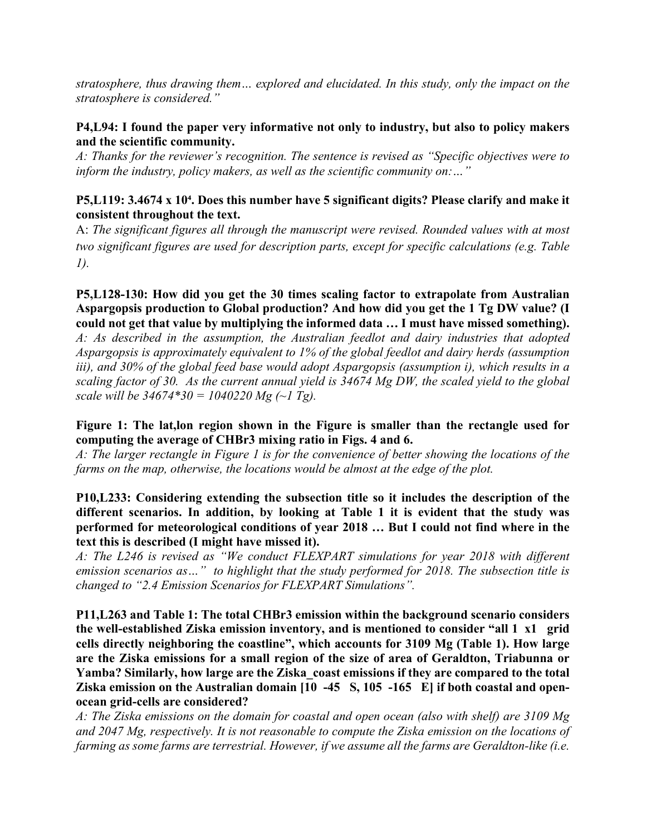*stratosphere, thus drawing them… explored and elucidated. In this study, only the impact on the stratosphere is considered."*

## **P4,L94: I found the paper very informative not only to industry, but also to policy makers and the scientific community.**

*A: Thanks for the reviewer's recognition. The sentence is revised as "Specific objectives were to inform the industry, policy makers, as well as the scientific community on:…"* 

## **P5,L119: 3.4674 x 10⁴. Does this number have 5 significant digits? Please clarify and make it consistent throughout the text.**

A: *The significant figures all through the manuscript were revised. Rounded values with at most two significant figures are used for description parts, except for specific calculations (e.g. Table 1).* 

**P5,L128-130: How did you get the 30 times scaling factor to extrapolate from Australian Aspargopsis production to Global production? And how did you get the 1 Tg DW value? (I could not get that value by multiplying the informed data … I must have missed something).**

*A: As described in the assumption, the Australian feedlot and dairy industries that adopted Aspargopsis is approximately equivalent to 1% of the global feedlot and dairy herds (assumption iii), and 30% of the global feed base would adopt Aspargopsis (assumption i), which results in a scaling factor of 30. As the current annual yield is 34674 Mg DW, the scaled yield to the global scale will be 34674\*30 = 1040220 Mg (~1 Tg).*

**Figure 1: The lat,lon region shown in the Figure is smaller than the rectangle used for computing the average of CHBr3 mixing ratio in Figs. 4 and 6.**

*A: The larger rectangle in Figure 1 is for the convenience of better showing the locations of the farms on the map, otherwise, the locations would be almost at the edge of the plot.* 

**P10,L233: Considering extending the subsection title so it includes the description of the different scenarios. In addition, by looking at Table 1 it is evident that the study was performed for meteorological conditions of year 2018 … But I could not find where in the text this is described (I might have missed it).**

*A: The L246 is revised as "We conduct FLEXPART simulations for year 2018 with different emission scenarios as…" to highlight that the study performed for 2018. The subsection title is changed to "2.4 Emission Scenarios for FLEXPART Simulations".*

**P11,L263 and Table 1: The total CHBr3 emission within the background scenario considers the well-established Ziska emission inventory, and is mentioned to consider "all 1 x1 grid cells directly neighboring the coastline", which accounts for 3109 Mg (Table 1). How large are the Ziska emissions for a small region of the size of area of Geraldton, Triabunna or Yamba? Similarly, how large are the Ziska\_coast emissions if they are compared to the total Ziska emission on the Australian domain [10 -45 S, 105 -165 E] if both coastal and openocean grid-cells are considered?**

*A: The Ziska emissions on the domain for coastal and open ocean (also with shelf) are 3109 Mg and 2047 Mg, respectively. It is not reasonable to compute the Ziska emission on the locations of farming as some farms are terrestrial. However, if we assume all the farms are Geraldton-like (i.e.*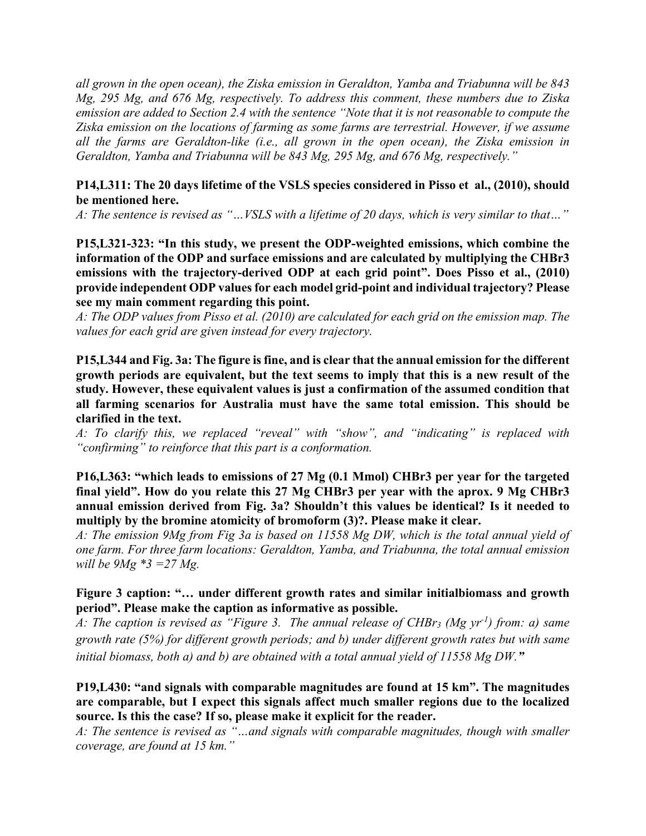*all grown in the open ocean), the Ziska emission in Geraldton, Yamba and Triabunna will be 843 Mg, 295 Mg, and 676 Mg, respectively. To address this comment, these numbers due to Ziska emission are added to Section 2.4 with the sentence "Note that it is not reasonable to compute the Ziska emission on the locations of farming as some farms are terrestrial. However, if we assume all the farms are Geraldton-like (i.e., all grown in the open ocean), the Ziska emission in Geraldton, Yamba and Triabunna will be 843 Mg, 295 Mg, and 676 Mg, respectively."*

## **P14,L311: The 20 days lifetime of the VSLS species considered in Pisso et al., (2010), should be mentioned here.**

*A: The sentence is revised as "…VSLS with a lifetime of 20 days, which is very similar to that…"*

**P15,L321-323: "In this study, we present the ODP-weighted emissions, which combine the information of the ODP and surface emissions and are calculated by multiplying the CHBr3 emissions with the trajectory-derived ODP at each grid point". Does Pisso et al., (2010) provide independent ODP values for each model grid-point and individual trajectory? Please see my main comment regarding this point.**

*A: The ODP values from Pisso et al. (2010) are calculated for each grid on the emission map. The values for each grid are given instead for every trajectory.* 

**P15,L344 and Fig. 3a: The figure is fine, and is clear that the annual emission for the different growth periods are equivalent, but the text seems to imply that this is a new result of the study. However, these equivalent values is just a confirmation of the assumed condition that all farming scenarios for Australia must have the same total emission. This should be clarified in the text.**

*A: To clarify this, we replaced "reveal" with "show", and "indicating" is replaced with "confirming" to reinforce that this part is a conformation.*

**P16,L363: "which leads to emissions of 27 Mg (0.1 Mmol) CHBr3 per year for the targeted final yield". How do you relate this 27 Mg CHBr3 per year with the aprox. 9 Mg CHBr3 annual emission derived from Fig. 3a? Shouldn't this values be identical? Is it needed to multiply by the bromine atomicity of bromoform (3)?. Please make it clear.**

*A: The emission 9Mg from Fig 3a is based on 11558 Mg DW, which is the total annual yield of one farm. For three farm locations: Geraldton, Yamba, and Triabunna, the total annual emission will be 9Mg \*3 =27 Mg.*

#### **Figure 3 caption: "… under different growth rates and similar initialbiomass and growth period". Please make the caption as informative as possible.**

*A: The caption is revised as "Figure 3. The annual release of CHBr3 (Mg yr-1 ) from: a) same growth rate (5%) for different growth periods; and b) under different growth rates but with same initial biomass, both a) and b) are obtained with a total annual yield of 11558 Mg DW."*

## **P19,L430: "and signals with comparable magnitudes are found at 15 km". The magnitudes are comparable, but I expect this signals affect much smaller regions due to the localized source. Is this the case? If so, please make it explicit for the reader.**

*A: The sentence is revised as "…and signals with comparable magnitudes, though with smaller coverage, are found at 15 km."*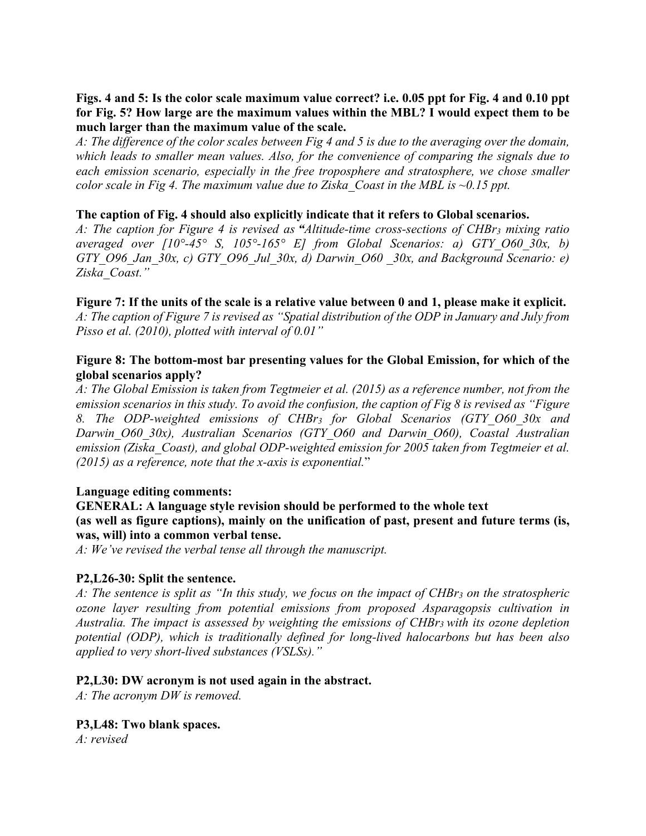# **Figs. 4 and 5: Is the color scale maximum value correct? i.e. 0.05 ppt for Fig. 4 and 0.10 ppt for Fig. 5? How large are the maximum values within the MBL? I would expect them to be much larger than the maximum value of the scale.**

*A: The difference of the color scales between Fig 4 and 5 is due to the averaging over the domain, which leads to smaller mean values. Also, for the convenience of comparing the signals due to each emission scenario, especially in the free troposphere and stratosphere, we chose smaller color scale in Fig 4. The maximum value due to Ziska\_Coast in the MBL is ~0.15 ppt.*

# **The caption of Fig. 4 should also explicitly indicate that it refers to Global scenarios.**

*A: The caption for Figure 4 is revised as "Altitude-time cross-sections of CHBr3 mixing ratio averaged over [10°-45° S, 105°-165° E] from Global Scenarios: a) GTY\_O60\_30x, b) GTY\_O96\_Jan\_30x, c) GTY\_O96\_Jul\_30x, d) Darwin\_O60 \_30x, and Background Scenario: e) Ziska\_Coast."*

#### **Figure 7: If the units of the scale is a relative value between 0 and 1, please make it explicit.**

*A: The caption of Figure 7 is revised as "Spatial distribution of the ODP in January and July from Pisso et al. (2010), plotted with interval of 0.01"*

# **Figure 8: The bottom-most bar presenting values for the Global Emission, for which of the global scenarios apply?**

*A: The Global Emission is taken from Tegtmeier et al. (2015) as a reference number, not from the emission scenarios in this study. To avoid the confusion, the caption of Fig 8 is revised as "Figure 8. The ODP-weighted emissions of CHBr3 for Global Scenarios (GTY\_O60\_30x and Darwin\_O60\_30x), Australian Scenarios (GTY\_O60 and Darwin\_O60), Coastal Australian emission (Ziska\_Coast), and global ODP-weighted emission for 2005 taken from Tegtmeier et al. (2015) as a reference, note that the x-axis is exponential.*"

#### **Language editing comments:**

## **GENERAL: A language style revision should be performed to the whole text (as well as figure captions), mainly on the unification of past, present and future terms (is, was, will) into a common verbal tense.**

*A: We've revised the verbal tense all through the manuscript.*

# **P2,L26-30: Split the sentence.**

*A: The sentence is split as "In this study, we focus on the impact of CHBr3 on the stratospheric ozone layer resulting from potential emissions from proposed Asparagopsis cultivation in Australia. The impact is assessed by weighting the emissions of CHBr3 with its ozone depletion potential (ODP), which is traditionally defined for long-lived halocarbons but has been also applied to very short-lived substances (VSLSs)."*

#### **P2,L30: DW acronym is not used again in the abstract.**

*A: The acronym DW is removed.*

# **P3,L48: Two blank spaces.**

*A: revised*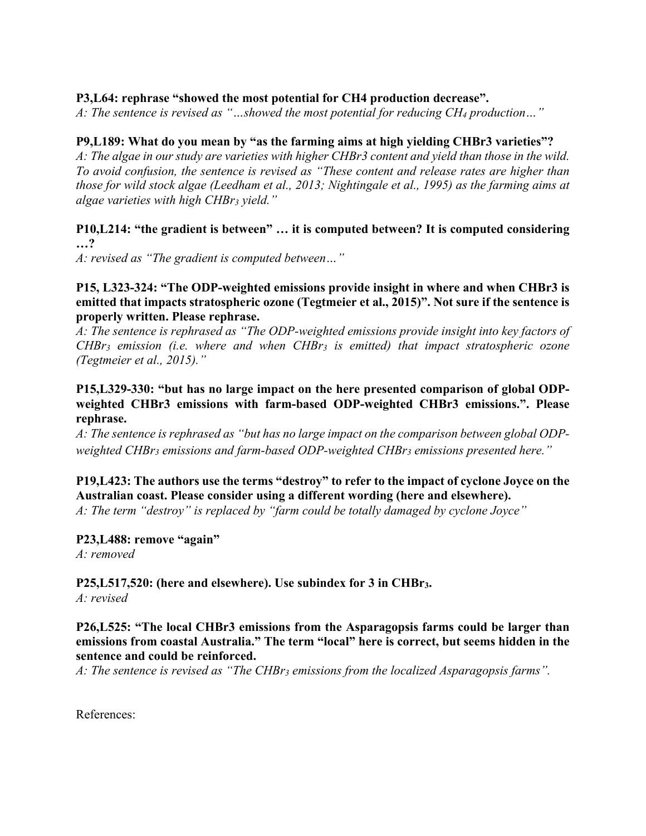# **P3,L64: rephrase "showed the most potential for CH4 production decrease".**

*A: The sentence is revised as "…showed the most potential for reducing CH4 production…"*

# **P9,L189: What do you mean by "as the farming aims at high yielding CHBr3 varieties"?**

*A: The algae in our study are varieties with higher CHBr3 content and yield than those in the wild. To avoid confusion, the sentence is revised as "These content and release rates are higher than those for wild stock algae (Leedham et al., 2013; Nightingale et al., 1995) as the farming aims at algae varieties with high CHBr3 yield."*

#### **P10,L214: "the gradient is between" … it is computed between? It is computed considering …?**

*A: revised as "The gradient is computed between…"*

## **P15, L323-324: "The ODP-weighted emissions provide insight in where and when CHBr3 is emitted that impacts stratospheric ozone (Tegtmeier et al., 2015)". Not sure if the sentence is properly written. Please rephrase.**

*A: The sentence is rephrased as "The ODP-weighted emissions provide insight into key factors of CHBr3 emission (i.e. where and when CHBr3 is emitted) that impact stratospheric ozone (Tegtmeier et al., 2015)."*

# **P15,L329-330: "but has no large impact on the here presented comparison of global ODPweighted CHBr3 emissions with farm-based ODP-weighted CHBr3 emissions.". Please rephrase.**

*A: The sentence is rephrased as "but has no large impact on the comparison between global ODPweighted CHBr3 emissions and farm-based ODP-weighted CHBr3 emissions presented here."*

# **P19,L423: The authors use the terms "destroy" to refer to the impact of cyclone Joyce on the Australian coast. Please consider using a different wording (here and elsewhere).**

*A: The term "destroy" is replaced by "farm could be totally damaged by cyclone Joyce"*

**P23,L488: remove "again"** *A: removed* 

# **P25,L517,520: (here and elsewhere). Use subindex for 3 in CHBr3.**

*A: revised* 

# **P26,L525: "The local CHBr3 emissions from the Asparagopsis farms could be larger than emissions from coastal Australia." The term "local" here is correct, but seems hidden in the sentence and could be reinforced.**

*A: The sentence is revised as "The CHBr3 emissions from the localized Asparagopsis farms".*

References: